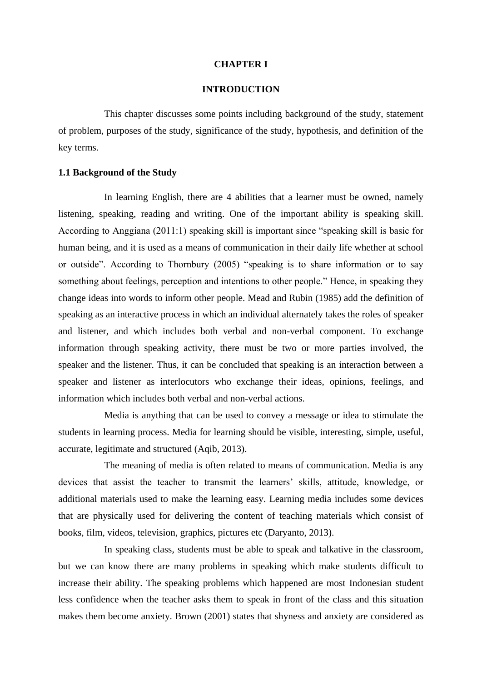#### **CHAPTER I**

#### **INTRODUCTION**

This chapter discusses some points including background of the study, statement of problem, purposes of the study, significance of the study, hypothesis, and definition of the key terms.

# **1.1 Background of the Study**

In learning English, there are 4 abilities that a learner must be owned, namely listening, speaking, reading and writing. One of the important ability is speaking skill. According to Anggiana (2011:1) speaking skill is important since "speaking skill is basic for human being, and it is used as a means of communication in their daily life whether at school or outside". According to Thornbury (2005) "speaking is to share information or to say something about feelings, perception and intentions to other people." Hence, in speaking they change ideas into words to inform other people. Mead and Rubin (1985) add the definition of speaking as an interactive process in which an individual alternately takes the roles of speaker and listener, and which includes both verbal and non-verbal component. To exchange information through speaking activity, there must be two or more parties involved, the speaker and the listener. Thus, it can be concluded that speaking is an interaction between a speaker and listener as interlocutors who exchange their ideas, opinions, feelings, and information which includes both verbal and non-verbal actions.

Media is anything that can be used to convey a message or idea to stimulate the students in learning process. Media for learning should be visible, interesting, simple, useful, accurate, legitimate and structured (Aqib, 2013).

The meaning of media is often related to means of communication. Media is any devices that assist the teacher to transmit the learners' skills, attitude, knowledge, or additional materials used to make the learning easy. Learning media includes some devices that are physically used for delivering the content of teaching materials which consist of books, film, videos, television, graphics, pictures etc (Daryanto, 2013).

In speaking class, students must be able to speak and talkative in the classroom, but we can know there are many problems in speaking which make students difficult to increase their ability. The speaking problems which happened are most Indonesian student less confidence when the teacher asks them to speak in front of the class and this situation makes them become anxiety. Brown (2001) states that shyness and anxiety are considered as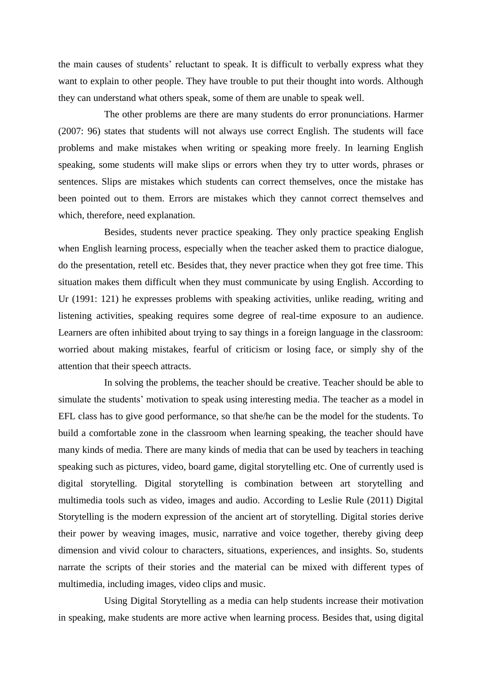the main causes of students' reluctant to speak. It is difficult to verbally express what they want to explain to other people. They have trouble to put their thought into words. Although they can understand what others speak, some of them are unable to speak well.

The other problems are there are many students do error pronunciations. Harmer (2007: 96) states that students will not always use correct English. The students will face problems and make mistakes when writing or speaking more freely. In learning English speaking, some students will make slips or errors when they try to utter words, phrases or sentences. Slips are mistakes which students can correct themselves, once the mistake has been pointed out to them. Errors are mistakes which they cannot correct themselves and which, therefore, need explanation.

Besides, students never practice speaking. They only practice speaking English when English learning process, especially when the teacher asked them to practice dialogue, do the presentation, retell etc. Besides that, they never practice when they got free time. This situation makes them difficult when they must communicate by using English. According to Ur (1991: 121) he expresses problems with speaking activities, unlike reading, writing and listening activities, speaking requires some degree of real-time exposure to an audience. Learners are often inhibited about trying to say things in a foreign language in the classroom: worried about making mistakes, fearful of criticism or losing face, or simply shy of the attention that their speech attracts.

In solving the problems, the teacher should be creative. Teacher should be able to simulate the students' motivation to speak using interesting media. The teacher as a model in EFL class has to give good performance, so that she/he can be the model for the students. To build a comfortable zone in the classroom when learning speaking, the teacher should have many kinds of media. There are many kinds of media that can be used by teachers in teaching speaking such as pictures, video, board game, digital storytelling etc. One of currently used is digital storytelling. Digital storytelling is combination between art storytelling and multimedia tools such as video, images and audio. According to Leslie Rule (2011) Digital Storytelling is the modern expression of the ancient art of storytelling. Digital stories derive their power by weaving images, music, narrative and voice together, thereby giving deep dimension and vivid colour to characters, situations, experiences, and insights. So, students narrate the scripts of their stories and the material can be mixed with different types of multimedia, including images, video clips and music.

Using Digital Storytelling as a media can help students increase their motivation in speaking, make students are more active when learning process. Besides that, using digital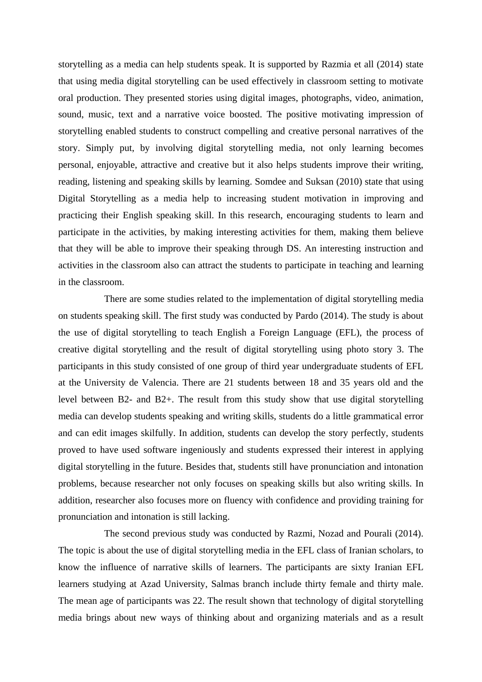storytelling as a media can help students speak. It is supported by Razmia et all (2014) state that using media digital storytelling can be used effectively in classroom setting to motivate oral production. They presented stories using digital images, photographs, video, animation, sound, music, text and a narrative voice boosted. The positive motivating impression of storytelling enabled students to construct compelling and creative personal narratives of the story. Simply put, by involving digital storytelling media, not only learning becomes personal, enjoyable, attractive and creative but it also helps students improve their writing, reading, listening and speaking skills by learning. Somdee and Suksan (2010) state that using Digital Storytelling as a media help to increasing student motivation in improving and practicing their English speaking skill. In this research, encouraging students to learn and participate in the activities, by making interesting activities for them, making them believe that they will be able to improve their speaking through DS. An interesting instruction and activities in the classroom also can attract the students to participate in teaching and learning in the classroom.

There are some studies related to the implementation of digital storytelling media on students speaking skill. The first study was conducted by Pardo (2014). The study is about the use of digital storytelling to teach English a Foreign Language (EFL), the process of creative digital storytelling and the result of digital storytelling using photo story 3. The participants in this study consisted of one group of third year undergraduate students of EFL at the University de Valencia. There are 21 students between 18 and 35 years old and the level between B2- and B2+. The result from this study show that use digital storytelling media can develop students speaking and writing skills, students do a little grammatical error and can edit images skilfully. In addition, students can develop the story perfectly, students proved to have used software ingeniously and students expressed their interest in applying digital storytelling in the future. Besides that, students still have pronunciation and intonation problems, because researcher not only focuses on speaking skills but also writing skills. In addition, researcher also focuses more on fluency with confidence and providing training for pronunciation and intonation is still lacking.

The second previous study was conducted by Razmi, Nozad and Pourali (2014). The topic is about the use of digital storytelling media in the EFL class of Iranian scholars, to know the influence of narrative skills of learners. The participants are sixty Iranian EFL learners studying at Azad University, Salmas branch include thirty female and thirty male. The mean age of participants was 22. The result shown that technology of digital storytelling media brings about new ways of thinking about and organizing materials and as a result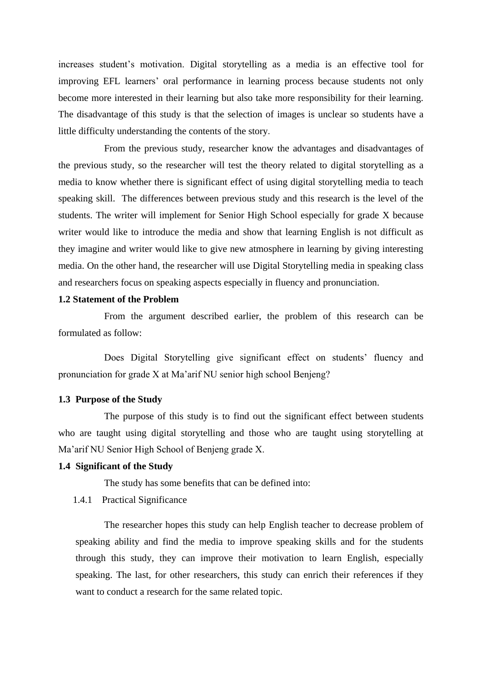increases student's motivation. Digital storytelling as a media is an effective tool for improving EFL learners' oral performance in learning process because students not only become more interested in their learning but also take more responsibility for their learning. The disadvantage of this study is that the selection of images is unclear so students have a little difficulty understanding the contents of the story.

From the previous study, researcher know the advantages and disadvantages of the previous study, so the researcher will test the theory related to digital storytelling as a media to know whether there is significant effect of using digital storytelling media to teach speaking skill. The differences between previous study and this research is the level of the students. The writer will implement for Senior High School especially for grade X because writer would like to introduce the media and show that learning English is not difficult as they imagine and writer would like to give new atmosphere in learning by giving interesting media. On the other hand, the researcher will use Digital Storytelling media in speaking class and researchers focus on speaking aspects especially in fluency and pronunciation.

# **1.2 Statement of the Problem**

From the argument described earlier, the problem of this research can be formulated as follow:

Does Digital Storytelling give significant effect on students' fluency and pronunciation for grade X at Ma'arif NU senior high school Benjeng?

#### **1.3 Purpose of the Study**

The purpose of this study is to find out the significant effect between students who are taught using digital storytelling and those who are taught using storytelling at Ma'arif NU Senior High School of Benjeng grade X.

#### **1.4 Significant of the Study**

The study has some benefits that can be defined into:

# 1.4.1 Practical Significance

The researcher hopes this study can help English teacher to decrease problem of speaking ability and find the media to improve speaking skills and for the students through this study, they can improve their motivation to learn English, especially speaking. The last, for other researchers, this study can enrich their references if they want to conduct a research for the same related topic.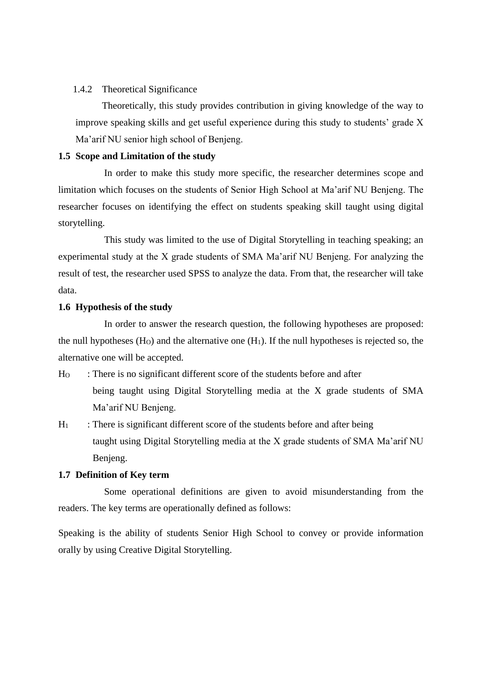# 1.4.2 Theoretical Significance

Theoretically, this study provides contribution in giving knowledge of the way to improve speaking skills and get useful experience during this study to students' grade X Ma'arif NU senior high school of Benjeng.

# **1.5 Scope and Limitation of the study**

In order to make this study more specific, the researcher determines scope and limitation which focuses on the students of Senior High School at Ma'arif NU Benjeng. The researcher focuses on identifying the effect on students speaking skill taught using digital storytelling.

This study was limited to the use of Digital Storytelling in teaching speaking; an experimental study at the X grade students of SMA Ma'arif NU Benjeng. For analyzing the result of test, the researcher used SPSS to analyze the data. From that, the researcher will take data.

# **1.6 Hypothesis of the study**

In order to answer the research question, the following hypotheses are proposed: the null hypotheses  $(H<sub>0</sub>)$  and the alternative one  $(H<sub>1</sub>)$ . If the null hypotheses is rejected so, the alternative one will be accepted.

- H<sup>O</sup> : There is no significant different score of the students before and after being taught using Digital Storytelling media at the X grade students of SMA Ma'arif NU Benjeng.
- $H_1$ : There is significant different score of the students before and after being taught using Digital Storytelling media at the X grade students of SMA Ma'arif NU Benjeng.

## **1.7 Definition of Key term**

Some operational definitions are given to avoid misunderstanding from the readers. The key terms are operationally defined as follows:

Speaking is the ability of students Senior High School to convey or provide information orally by using Creative Digital Storytelling.